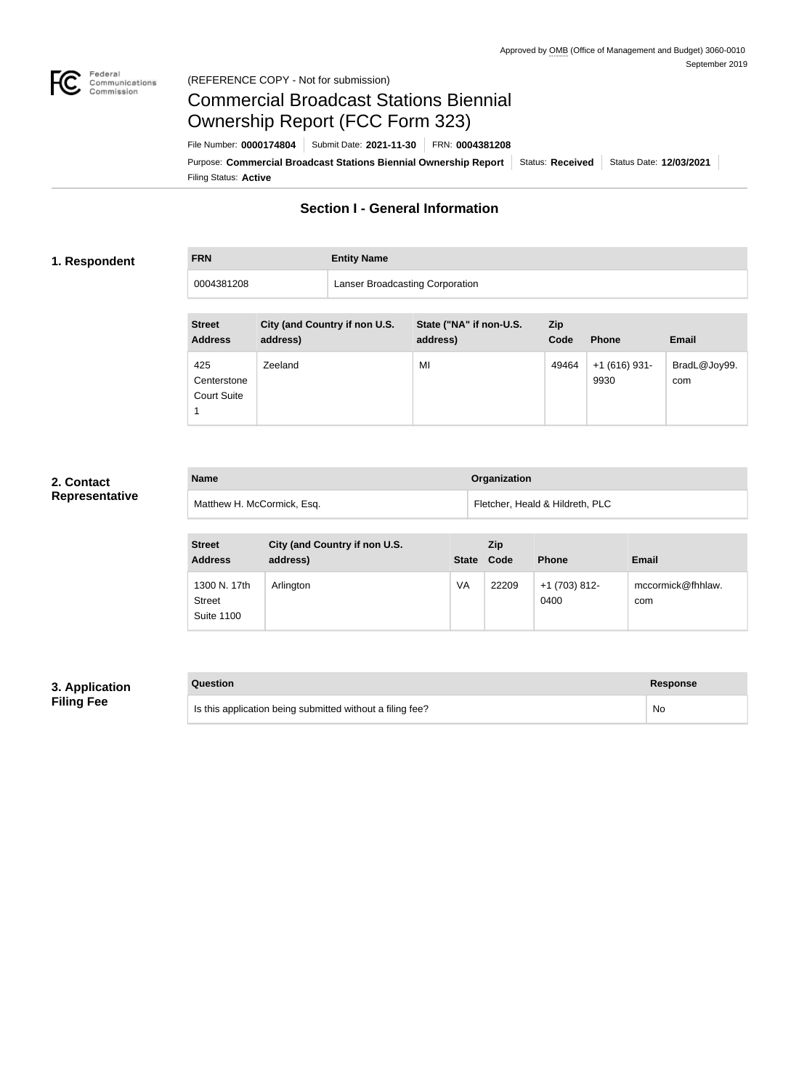

#### Federal<br>Communications<br>Commission (REFERENCE COPY - Not for submission)

# Commercial Broadcast Stations Biennial Ownership Report (FCC Form 323)

Filing Status: **Active** Purpose: Commercial Broadcast Stations Biennial Ownership Report Status: Received Status Date: 12/03/2021 File Number: **0000174804** Submit Date: **2021-11-30** FRN: **0004381208**

### **Section I - General Information**

#### **1. Respondent**

**FRN Entity Name**

0004381208 Lanser Broadcasting Corporation

| <b>Street</b><br><b>Address</b>          | City (and Country if non U.S.<br>address) | State ("NA" if non-U.S.<br>address) | <b>Zip</b><br>Code | <b>Phone</b>           | <b>Email</b>        |
|------------------------------------------|-------------------------------------------|-------------------------------------|--------------------|------------------------|---------------------|
| 425<br>Centerstone<br><b>Court Suite</b> | Zeeland                                   | MI                                  | 49464              | $+1(616)$ 931-<br>9930 | BradL@Joy99.<br>com |

### **2. Contact Representative**

| <b>Name</b>                | <b>Organization</b>             |
|----------------------------|---------------------------------|
| Matthew H. McCormick, Esq. | Fletcher, Heald & Hildreth, PLC |

| <b>Street</b><br><b>Address</b>                    | City (and Country if non U.S.<br>address) | <b>State</b> | <b>Zip</b><br>Code | <b>Phone</b>          | <b>Email</b>             |
|----------------------------------------------------|-------------------------------------------|--------------|--------------------|-----------------------|--------------------------|
| 1300 N. 17th<br><b>Street</b><br><b>Suite 1100</b> | Arlington                                 | VA           | 22209              | +1 (703) 812-<br>0400 | mccormick@fhhlaw.<br>com |

### **3. Application Filing Fee**

| Question                                                  | Response  |
|-----------------------------------------------------------|-----------|
| Is this application being submitted without a filing fee? | <b>No</b> |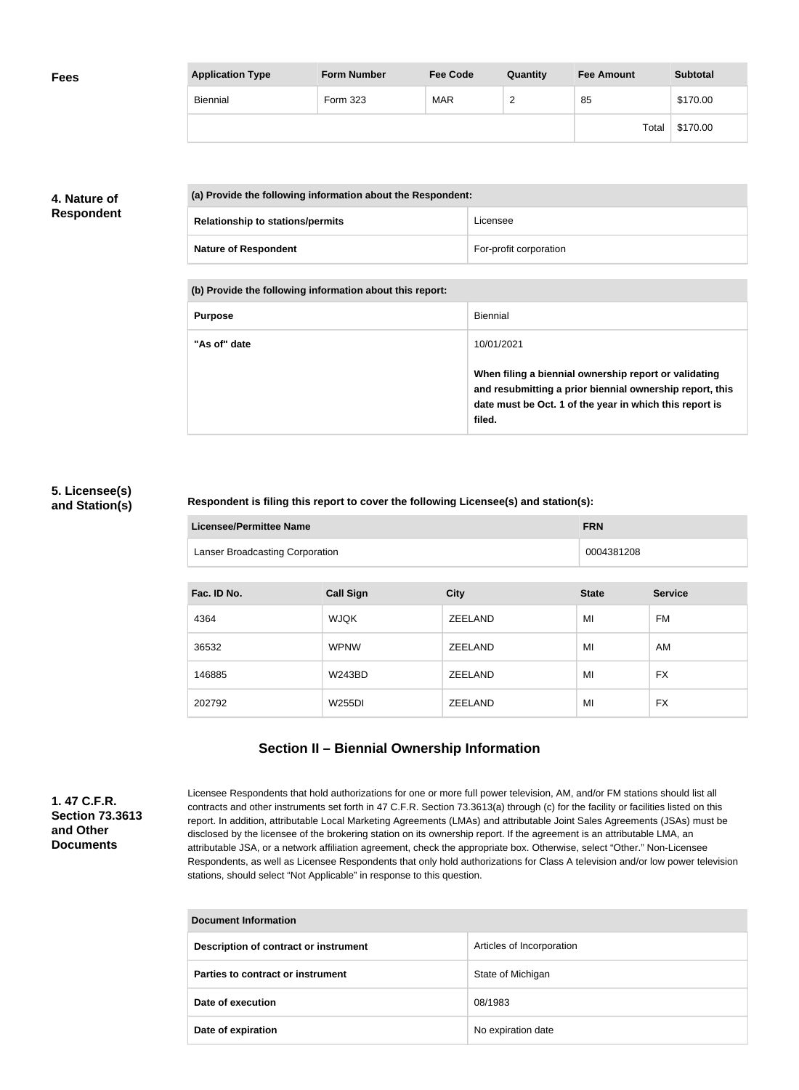| <b>Fees</b> | <b>Application Type</b> | <b>Form Number</b> | <b>Fee Code</b> | Quantity | <b>Fee Amount</b> | <b>Subtotal</b> |
|-------------|-------------------------|--------------------|-----------------|----------|-------------------|-----------------|
|             | <b>Biennial</b>         | Form 323           | <b>MAR</b>      | _        | 85                | \$170.00        |
|             |                         |                    |                 |          | Total             | \$170.00        |

### **4. Nature of Respondent**

| (a) Provide the following information about the Respondent: |                        |
|-------------------------------------------------------------|------------------------|
| <b>Relationship to stations/permits</b>                     | Licensee               |
| <b>Nature of Respondent</b>                                 | For-profit corporation |

**(b) Provide the following information about this report:**

| <b>Purpose</b> | Biennial                                                                                                                                                                               |
|----------------|----------------------------------------------------------------------------------------------------------------------------------------------------------------------------------------|
| "As of" date   | 10/01/2021                                                                                                                                                                             |
|                | When filing a biennial ownership report or validating<br>and resubmitting a prior biennial ownership report, this<br>date must be Oct. 1 of the year in which this report is<br>filed. |

#### **5. Licensee(s) and Station(s)**

#### **Respondent is filing this report to cover the following Licensee(s) and station(s):**

| Licensee/Permittee Name                | <b>FRN</b> |
|----------------------------------------|------------|
| <b>Lanser Broadcasting Corporation</b> | 0004381208 |

| Fac. ID No. | <b>Call Sign</b> | <b>City</b>    | <b>State</b> | <b>Service</b> |
|-------------|------------------|----------------|--------------|----------------|
| 4364        | <b>WJQK</b>      | <b>ZEELAND</b> | MI           | FM             |
| 36532       | <b>WPNW</b>      | ZEELAND        | MI           | AM             |
| 146885      | <b>W243BD</b>    | ZEELAND        | MI           | <b>FX</b>      |
| 202792      | W255DI           | <b>ZEELAND</b> | MI           | <b>FX</b>      |

### **Section II – Biennial Ownership Information**

**1. 47 C.F.R. Section 73.3613 and Other Documents**

Licensee Respondents that hold authorizations for one or more full power television, AM, and/or FM stations should list all contracts and other instruments set forth in 47 C.F.R. Section 73.3613(a) through (c) for the facility or facilities listed on this report. In addition, attributable Local Marketing Agreements (LMAs) and attributable Joint Sales Agreements (JSAs) must be disclosed by the licensee of the brokering station on its ownership report. If the agreement is an attributable LMA, an attributable JSA, or a network affiliation agreement, check the appropriate box. Otherwise, select "Other." Non-Licensee Respondents, as well as Licensee Respondents that only hold authorizations for Class A television and/or low power television stations, should select "Not Applicable" in response to this question.

| <b>Document Information</b>           |                           |  |
|---------------------------------------|---------------------------|--|
| Description of contract or instrument | Articles of Incorporation |  |
| Parties to contract or instrument     | State of Michigan         |  |
| Date of execution                     | 08/1983                   |  |
| Date of expiration                    | No expiration date        |  |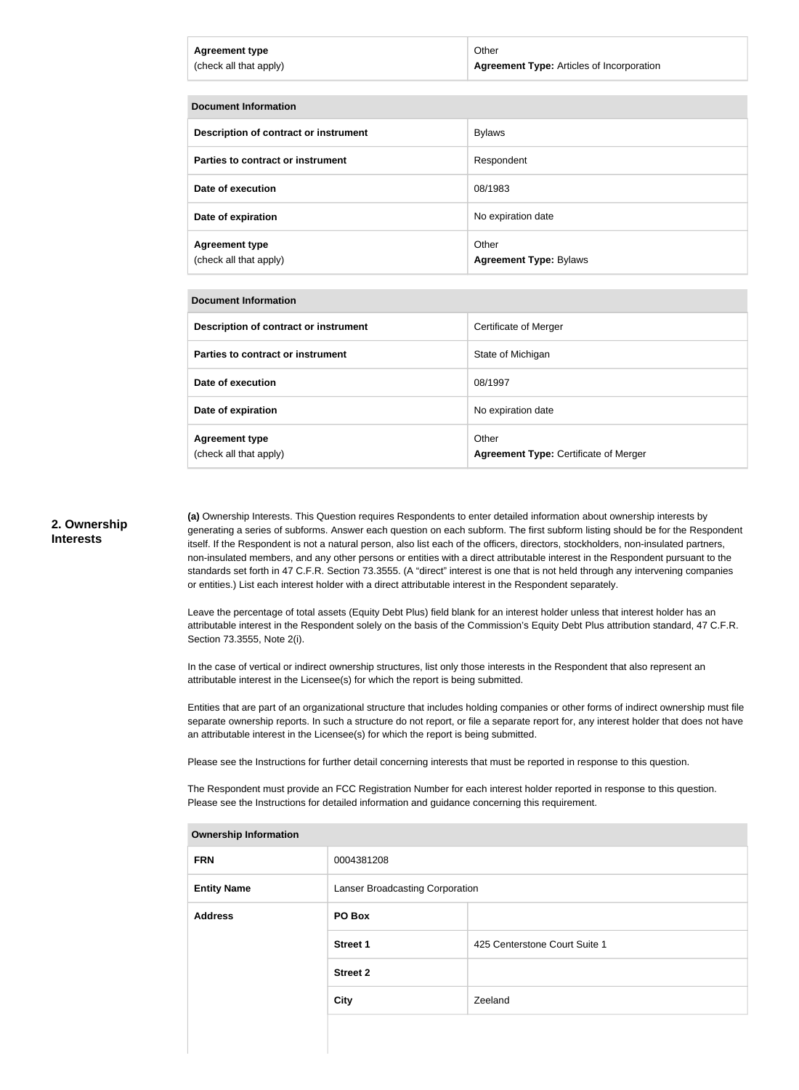| <b>Agreement type</b>  | Other                                            |
|------------------------|--------------------------------------------------|
| (check all that apply) | <b>Agreement Type: Articles of Incorporation</b> |
|                        |                                                  |

| <b>Document Information</b>                     |                                        |  |
|-------------------------------------------------|----------------------------------------|--|
| Description of contract or instrument           | <b>Bylaws</b>                          |  |
| Parties to contract or instrument               | Respondent                             |  |
| Date of execution                               | 08/1983                                |  |
| Date of expiration                              | No expiration date                     |  |
| <b>Agreement type</b><br>(check all that apply) | Other<br><b>Agreement Type: Bylaws</b> |  |

#### **Document Information**

| Description of contract or instrument           | Certificate of Merger                                 |
|-------------------------------------------------|-------------------------------------------------------|
| Parties to contract or instrument               | State of Michigan                                     |
| Date of execution                               | 08/1997                                               |
| Date of expiration                              | No expiration date                                    |
| <b>Agreement type</b><br>(check all that apply) | Other<br><b>Agreement Type: Certificate of Merger</b> |

#### **2. Ownership Interests**

**(a)** Ownership Interests. This Question requires Respondents to enter detailed information about ownership interests by generating a series of subforms. Answer each question on each subform. The first subform listing should be for the Respondent itself. If the Respondent is not a natural person, also list each of the officers, directors, stockholders, non-insulated partners, non-insulated members, and any other persons or entities with a direct attributable interest in the Respondent pursuant to the standards set forth in 47 C.F.R. Section 73.3555. (A "direct" interest is one that is not held through any intervening companies or entities.) List each interest holder with a direct attributable interest in the Respondent separately.

Leave the percentage of total assets (Equity Debt Plus) field blank for an interest holder unless that interest holder has an attributable interest in the Respondent solely on the basis of the Commission's Equity Debt Plus attribution standard, 47 C.F.R. Section 73.3555, Note 2(i).

In the case of vertical or indirect ownership structures, list only those interests in the Respondent that also represent an attributable interest in the Licensee(s) for which the report is being submitted.

Entities that are part of an organizational structure that includes holding companies or other forms of indirect ownership must file separate ownership reports. In such a structure do not report, or file a separate report for, any interest holder that does not have an attributable interest in the Licensee(s) for which the report is being submitted.

Please see the Instructions for further detail concerning interests that must be reported in response to this question.

The Respondent must provide an FCC Registration Number for each interest holder reported in response to this question. Please see the Instructions for detailed information and guidance concerning this requirement.

| <b>FRN</b>         | 0004381208                      |                               |
|--------------------|---------------------------------|-------------------------------|
| <b>Entity Name</b> | Lanser Broadcasting Corporation |                               |
| <b>Address</b>     | PO Box                          |                               |
|                    | <b>Street 1</b>                 | 425 Centerstone Court Suite 1 |
|                    | <b>Street 2</b>                 |                               |
|                    | <b>City</b>                     | Zeeland                       |
|                    |                                 |                               |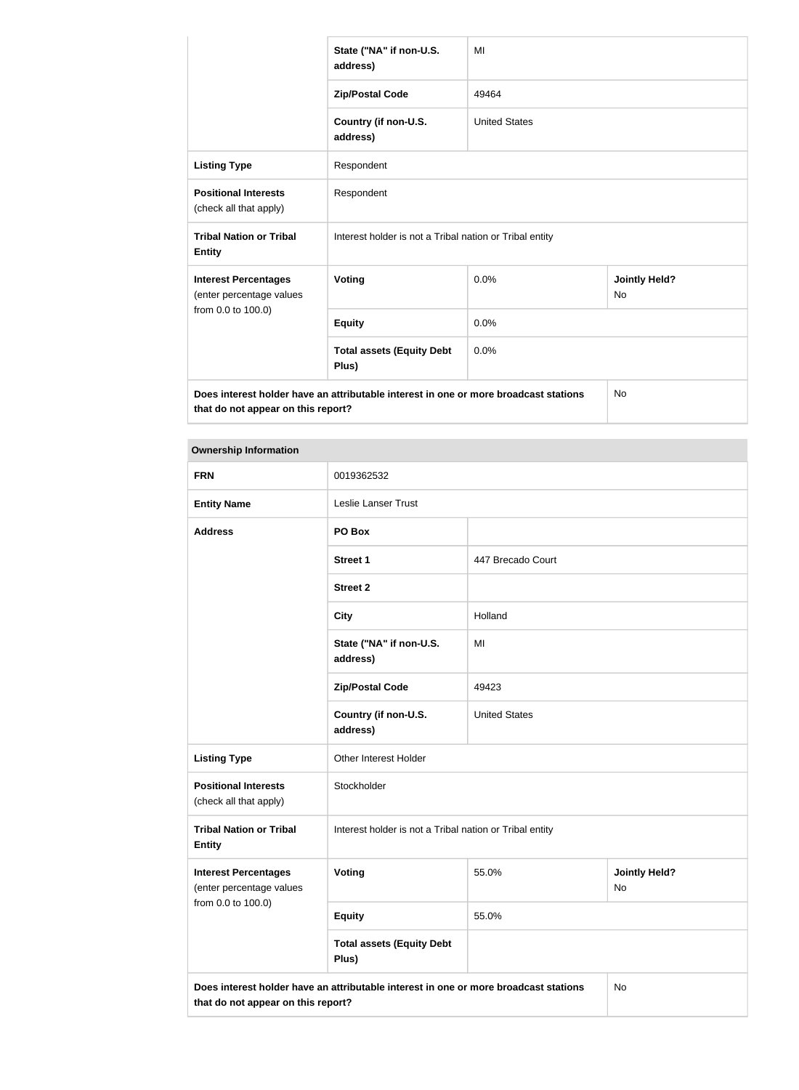|                                                         | State ("NA" if non-U.S.<br>address)                                                  | MI                   |                                   |
|---------------------------------------------------------|--------------------------------------------------------------------------------------|----------------------|-----------------------------------|
|                                                         | <b>Zip/Postal Code</b>                                                               | 49464                |                                   |
|                                                         | Country (if non-U.S.<br>address)                                                     | <b>United States</b> |                                   |
| <b>Listing Type</b>                                     | Respondent                                                                           |                      |                                   |
| <b>Positional Interests</b><br>(check all that apply)   | Respondent                                                                           |                      |                                   |
| <b>Tribal Nation or Tribal</b><br><b>Entity</b>         | Interest holder is not a Tribal nation or Tribal entity                              |                      |                                   |
| <b>Interest Percentages</b><br>(enter percentage values | <b>Voting</b>                                                                        | 0.0%                 | <b>Jointly Held?</b><br><b>No</b> |
| from 0.0 to 100.0)                                      | <b>Equity</b>                                                                        | 0.0%                 |                                   |
|                                                         | <b>Total assets (Equity Debt</b><br>Plus)                                            | 0.0%                 |                                   |
|                                                         | Does interest holder have an attributable interest in one or more broadcast stations |                      | No                                |

**that do not appear on this report?**

| <b>Ownership Information</b>                            |                                                                                      |                      |                            |  |
|---------------------------------------------------------|--------------------------------------------------------------------------------------|----------------------|----------------------------|--|
| <b>FRN</b>                                              | 0019362532                                                                           |                      |                            |  |
| <b>Entity Name</b>                                      | <b>Leslie Lanser Trust</b>                                                           |                      |                            |  |
| <b>Address</b>                                          | PO Box                                                                               |                      |                            |  |
|                                                         | <b>Street 1</b>                                                                      | 447 Brecado Court    |                            |  |
|                                                         | <b>Street 2</b>                                                                      |                      |                            |  |
|                                                         | <b>City</b>                                                                          | Holland              |                            |  |
|                                                         | State ("NA" if non-U.S.<br>address)                                                  | MI                   |                            |  |
|                                                         | <b>Zip/Postal Code</b>                                                               | 49423                |                            |  |
|                                                         | Country (if non-U.S.<br>address)                                                     | <b>United States</b> |                            |  |
| <b>Listing Type</b>                                     | Other Interest Holder                                                                |                      |                            |  |
| <b>Positional Interests</b><br>(check all that apply)   | Stockholder                                                                          |                      |                            |  |
| <b>Tribal Nation or Tribal</b><br><b>Entity</b>         | Interest holder is not a Tribal nation or Tribal entity                              |                      |                            |  |
| <b>Interest Percentages</b><br>(enter percentage values | <b>Voting</b>                                                                        | 55.0%                | <b>Jointly Held?</b><br>No |  |
| from 0.0 to 100.0)                                      | <b>Equity</b>                                                                        | 55.0%                |                            |  |
|                                                         | <b>Total assets (Equity Debt</b><br>Plus)                                            |                      |                            |  |
| that do not appear on this report?                      | Does interest holder have an attributable interest in one or more broadcast stations |                      | <b>No</b>                  |  |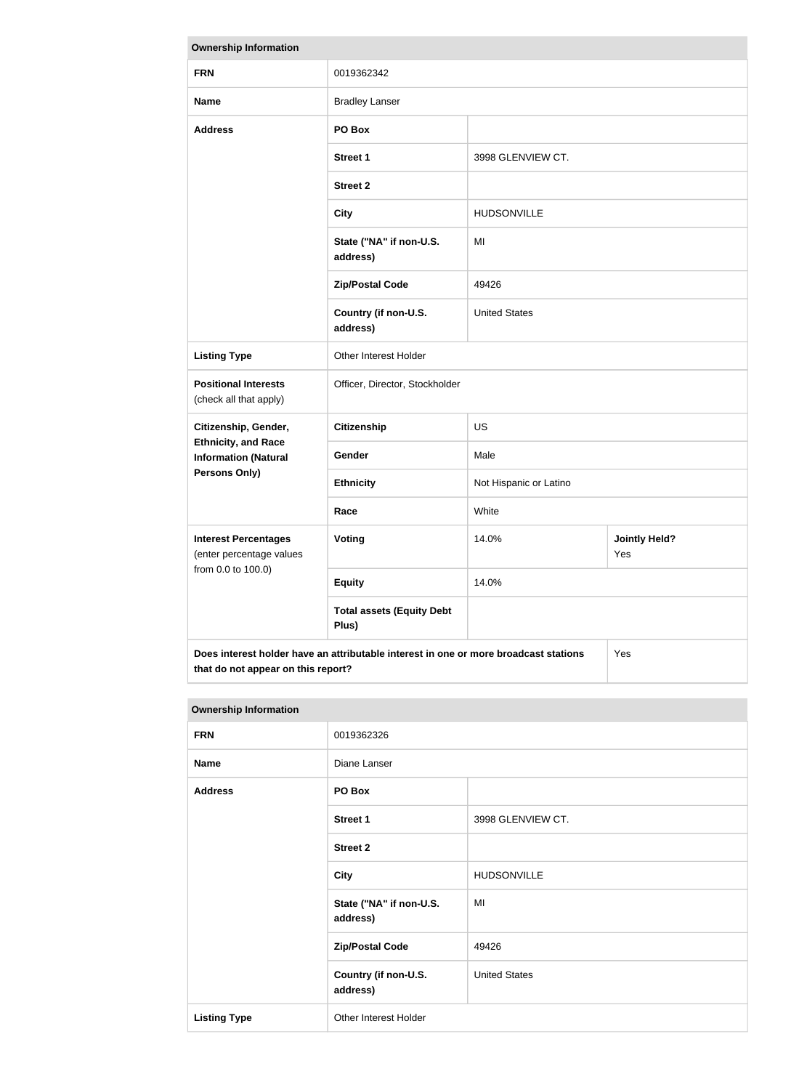| <b>Ownership Information</b>                                                  |                                                                                      |                        |                             |
|-------------------------------------------------------------------------------|--------------------------------------------------------------------------------------|------------------------|-----------------------------|
| <b>FRN</b>                                                                    | 0019362342                                                                           |                        |                             |
| <b>Name</b>                                                                   | <b>Bradley Lanser</b>                                                                |                        |                             |
| <b>Address</b>                                                                | PO Box                                                                               |                        |                             |
|                                                                               | <b>Street 1</b>                                                                      | 3998 GLENVIEW CT.      |                             |
|                                                                               | <b>Street 2</b>                                                                      |                        |                             |
|                                                                               | <b>City</b>                                                                          | <b>HUDSONVILLE</b>     |                             |
|                                                                               | State ("NA" if non-U.S.<br>address)                                                  | MI                     |                             |
|                                                                               | <b>Zip/Postal Code</b>                                                               | 49426                  |                             |
|                                                                               | Country (if non-U.S.<br>address)                                                     | <b>United States</b>   |                             |
| <b>Listing Type</b>                                                           | Other Interest Holder                                                                |                        |                             |
| <b>Positional Interests</b><br>(check all that apply)                         | Officer, Director, Stockholder                                                       |                        |                             |
| Citizenship, Gender,                                                          | <b>Citizenship</b>                                                                   | <b>US</b>              |                             |
| <b>Ethnicity, and Race</b><br><b>Information (Natural</b>                     | Gender                                                                               | Male                   |                             |
| <b>Persons Only)</b>                                                          | <b>Ethnicity</b>                                                                     | Not Hispanic or Latino |                             |
|                                                                               | Race                                                                                 | White                  |                             |
| <b>Interest Percentages</b><br>(enter percentage values<br>from 0.0 to 100.0) | Voting                                                                               | 14.0%                  | <b>Jointly Held?</b><br>Yes |
|                                                                               | <b>Equity</b>                                                                        | 14.0%                  |                             |
|                                                                               | <b>Total assets (Equity Debt</b><br>Plus)                                            |                        |                             |
|                                                                               | Does interest holder have an attributable interest in one or more broadcast stations |                        | Yes                         |

**that do not appear on this report?**

| <b>Ownership Information</b> |                                     |                      |
|------------------------------|-------------------------------------|----------------------|
| <b>FRN</b>                   | 0019362326                          |                      |
| <b>Name</b>                  | Diane Lanser                        |                      |
| <b>Address</b>               | PO Box                              |                      |
|                              | <b>Street 1</b>                     | 3998 GLENVIEW CT.    |
|                              | <b>Street 2</b>                     |                      |
|                              | <b>City</b>                         | <b>HUDSONVILLE</b>   |
|                              | State ("NA" if non-U.S.<br>address) | MI                   |
|                              | <b>Zip/Postal Code</b>              | 49426                |
|                              | Country (if non-U.S.<br>address)    | <b>United States</b> |
| <b>Listing Type</b>          | Other Interest Holder               |                      |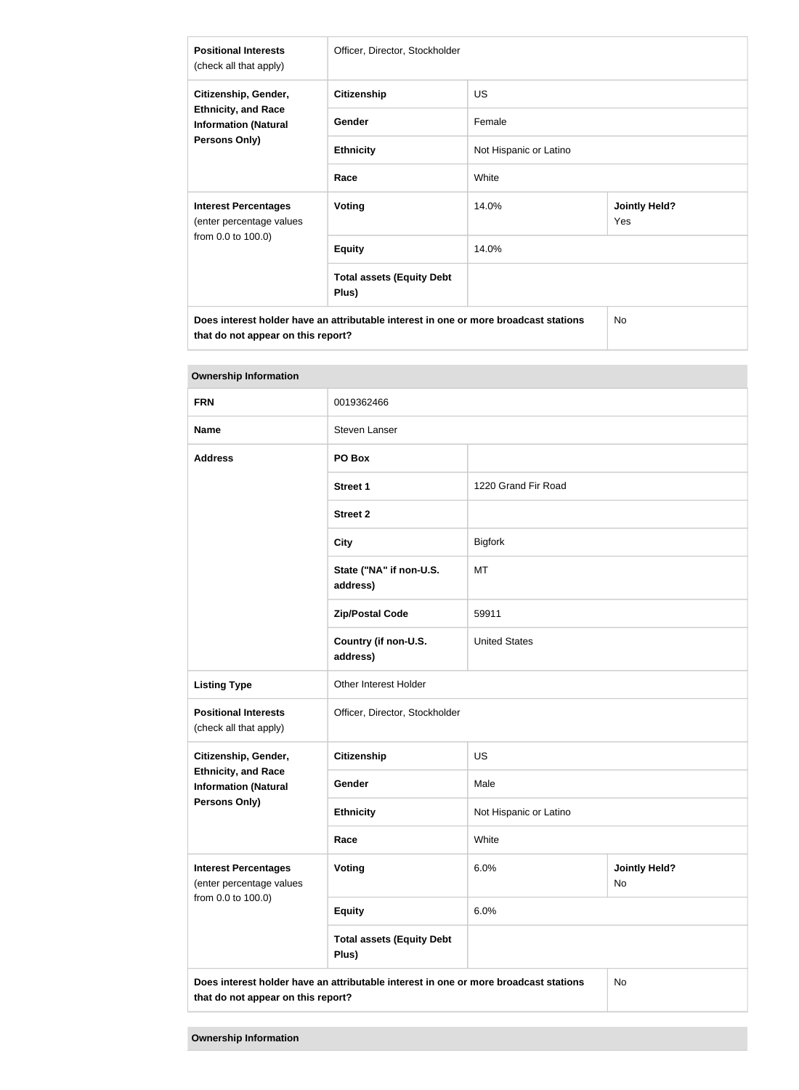| <b>Positional Interests</b><br>(check all that apply)                                                     | Officer, Director, Stockholder            |                        |                             |
|-----------------------------------------------------------------------------------------------------------|-------------------------------------------|------------------------|-----------------------------|
| Citizenship, Gender,<br><b>Ethnicity, and Race</b><br><b>Information (Natural</b><br><b>Persons Only)</b> | <b>Citizenship</b>                        | <b>US</b>              |                             |
|                                                                                                           | <b>Gender</b>                             | Female                 |                             |
|                                                                                                           | <b>Ethnicity</b>                          | Not Hispanic or Latino |                             |
|                                                                                                           | Race                                      | White                  |                             |
| <b>Interest Percentages</b><br>(enter percentage values<br>from 0.0 to 100.0)                             | <b>Voting</b>                             | 14.0%                  | <b>Jointly Held?</b><br>Yes |
|                                                                                                           | <b>Equity</b>                             | 14.0%                  |                             |
|                                                                                                           | <b>Total assets (Equity Debt</b><br>Plus) |                        |                             |
| Does interest holder have an attributable interest in one or more broadcast stations                      |                                           |                        | <b>No</b>                   |

**College** 

| <b>Ownership Information</b>                                                                                                     |                                           |                                    |  |
|----------------------------------------------------------------------------------------------------------------------------------|-------------------------------------------|------------------------------------|--|
| <b>FRN</b>                                                                                                                       | 0019362466                                |                                    |  |
| <b>Name</b>                                                                                                                      | Steven Lanser                             |                                    |  |
| <b>Address</b>                                                                                                                   | PO Box                                    |                                    |  |
|                                                                                                                                  | <b>Street 1</b>                           | 1220 Grand Fir Road                |  |
|                                                                                                                                  | <b>Street 2</b>                           |                                    |  |
|                                                                                                                                  | <b>City</b>                               | <b>Bigfork</b>                     |  |
|                                                                                                                                  | State ("NA" if non-U.S.<br>address)       | MT                                 |  |
|                                                                                                                                  | <b>Zip/Postal Code</b>                    | 59911                              |  |
|                                                                                                                                  | Country (if non-U.S.<br>address)          | <b>United States</b>               |  |
| <b>Listing Type</b>                                                                                                              | Other Interest Holder                     |                                    |  |
| <b>Positional Interests</b><br>(check all that apply)                                                                            | Officer, Director, Stockholder            |                                    |  |
| Citizenship, Gender,                                                                                                             | Citizenship                               | US                                 |  |
| <b>Ethnicity, and Race</b><br><b>Information (Natural</b>                                                                        | Gender                                    | Male                               |  |
| <b>Persons Only)</b>                                                                                                             | <b>Ethnicity</b>                          | Not Hispanic or Latino             |  |
|                                                                                                                                  | Race                                      | White                              |  |
| <b>Interest Percentages</b><br>(enter percentage values<br>from 0.0 to 100.0)                                                    | Voting                                    | 6.0%<br><b>Jointly Held?</b><br>No |  |
|                                                                                                                                  | <b>Equity</b>                             | 6.0%                               |  |
|                                                                                                                                  | <b>Total assets (Equity Debt</b><br>Plus) |                                    |  |
| Does interest holder have an attributable interest in one or more broadcast stations<br>No<br>that do not appear on this report? |                                           |                                    |  |

**that do not appear on this report?**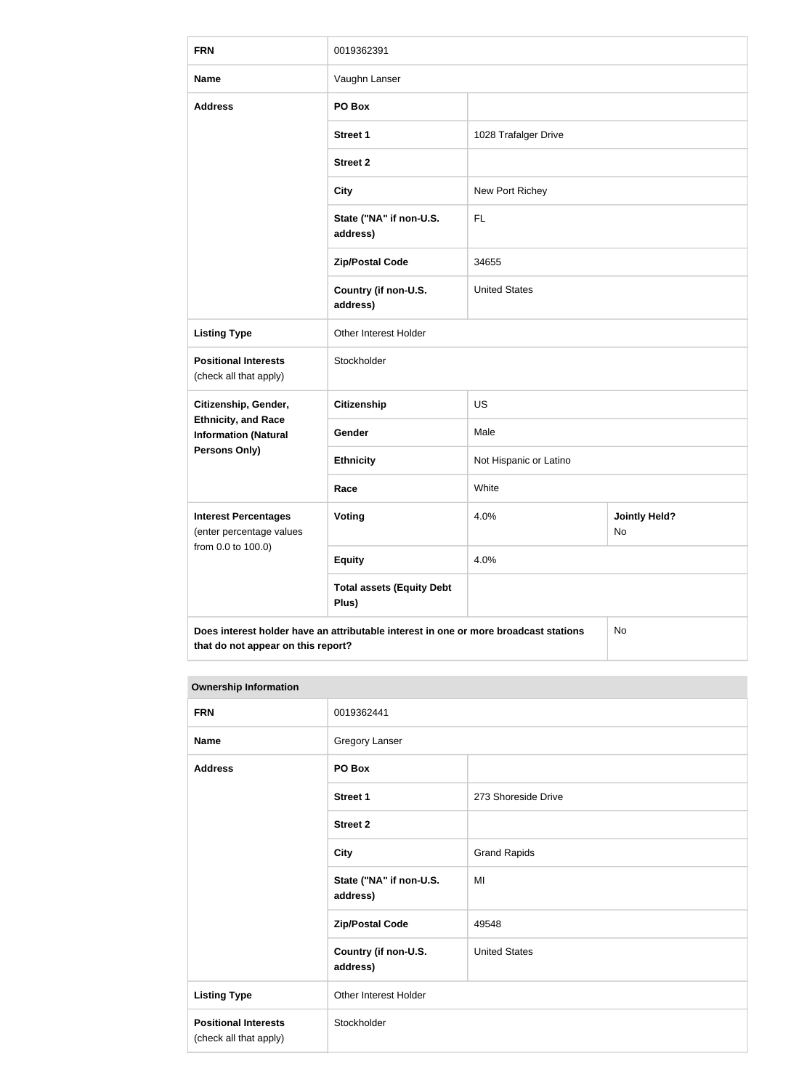| <b>FRN</b>                                                | 0019362391                                                                           |                        |                            |
|-----------------------------------------------------------|--------------------------------------------------------------------------------------|------------------------|----------------------------|
| <b>Name</b>                                               | Vaughn Lanser                                                                        |                        |                            |
| <b>Address</b>                                            | PO Box                                                                               |                        |                            |
|                                                           | <b>Street 1</b>                                                                      | 1028 Trafalger Drive   |                            |
|                                                           | <b>Street 2</b>                                                                      |                        |                            |
|                                                           | <b>City</b>                                                                          | New Port Richey        |                            |
|                                                           | State ("NA" if non-U.S.<br>address)                                                  | FL                     |                            |
|                                                           | <b>Zip/Postal Code</b>                                                               | 34655                  |                            |
|                                                           | Country (if non-U.S.<br>address)                                                     | <b>United States</b>   |                            |
| <b>Listing Type</b>                                       | Other Interest Holder                                                                |                        |                            |
| <b>Positional Interests</b><br>(check all that apply)     | Stockholder                                                                          |                        |                            |
| Citizenship, Gender,                                      | <b>Citizenship</b>                                                                   | <b>US</b>              |                            |
| <b>Ethnicity, and Race</b><br><b>Information (Natural</b> | Gender                                                                               | Male                   |                            |
| <b>Persons Only)</b>                                      | <b>Ethnicity</b>                                                                     | Not Hispanic or Latino |                            |
|                                                           | Race                                                                                 | White                  |                            |
| <b>Interest Percentages</b><br>(enter percentage values   | <b>Voting</b>                                                                        | 4.0%                   | <b>Jointly Held?</b><br>No |
| from 0.0 to 100.0)                                        | <b>Equity</b>                                                                        | 4.0%                   |                            |
|                                                           | <b>Total assets (Equity Debt</b><br>Plus)                                            |                        |                            |
| that do not appear on this report?                        | Does interest holder have an attributable interest in one or more broadcast stations |                        | No                         |

| <b>Ownership Information</b> |
|------------------------------|

| <b>FRN</b>                                            | 0019362441                          |                      |
|-------------------------------------------------------|-------------------------------------|----------------------|
| <b>Name</b>                                           | Gregory Lanser                      |                      |
| <b>Address</b>                                        | PO Box                              |                      |
|                                                       | Street 1                            | 273 Shoreside Drive  |
|                                                       | <b>Street 2</b>                     |                      |
|                                                       | <b>City</b>                         | <b>Grand Rapids</b>  |
|                                                       | State ("NA" if non-U.S.<br>address) | MI                   |
|                                                       | <b>Zip/Postal Code</b>              | 49548                |
|                                                       | Country (if non-U.S.<br>address)    | <b>United States</b> |
| <b>Listing Type</b>                                   | Other Interest Holder               |                      |
| <b>Positional Interests</b><br>(check all that apply) | Stockholder                         |                      |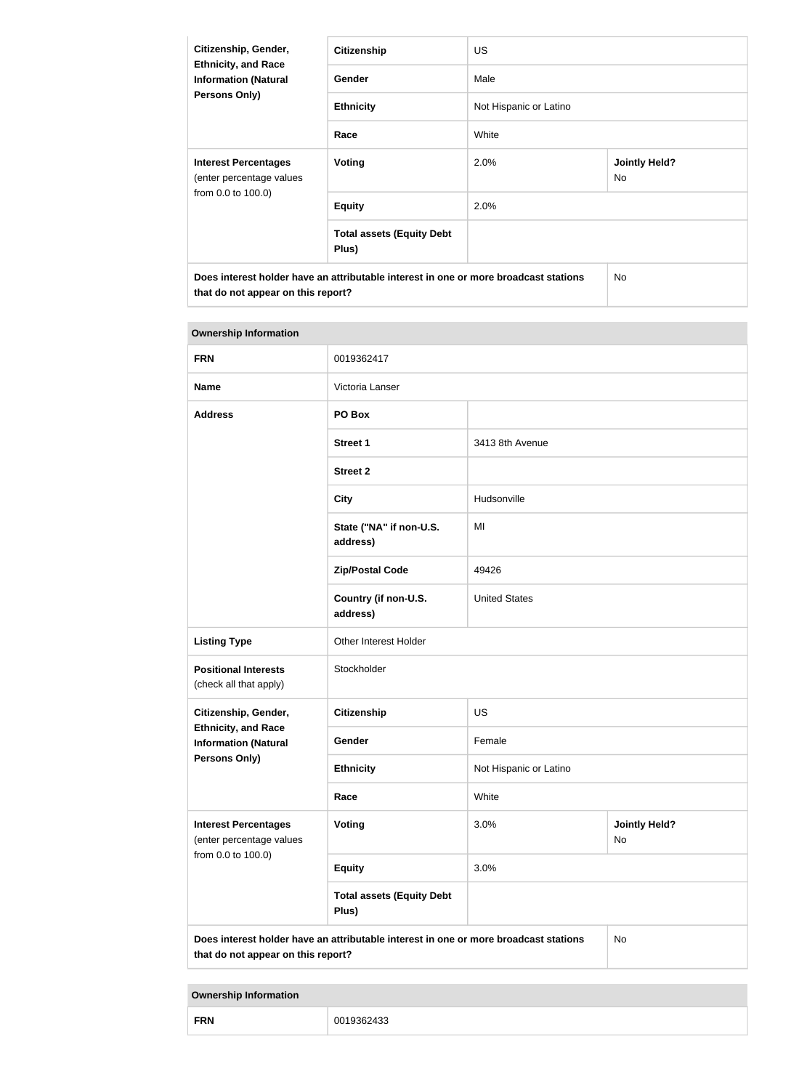| Citizenship, Gender,<br><b>Ethnicity, and Race</b><br><b>Information (Natural</b><br><b>Persons Only)</b>                  | <b>Citizenship</b>                        | <b>US</b>              |                             |
|----------------------------------------------------------------------------------------------------------------------------|-------------------------------------------|------------------------|-----------------------------|
|                                                                                                                            | Gender                                    | Male                   |                             |
|                                                                                                                            | <b>Ethnicity</b>                          | Not Hispanic or Latino |                             |
|                                                                                                                            | Race                                      | White                  |                             |
| <b>Interest Percentages</b><br>(enter percentage values                                                                    | Voting                                    | 2.0%                   | <b>Jointly Held?</b><br>No. |
| from 0.0 to 100.0)                                                                                                         | <b>Equity</b>                             | 2.0%                   |                             |
|                                                                                                                            | <b>Total assets (Equity Debt</b><br>Plus) |                        |                             |
| Does interest holder have an attributable interest in one or more broadcast stations<br>that do not appear on this report? |                                           | <b>No</b>              |                             |

| <b>Ownership Information</b>                              |                                                                                      |                        |                            |
|-----------------------------------------------------------|--------------------------------------------------------------------------------------|------------------------|----------------------------|
| <b>FRN</b>                                                | 0019362417                                                                           |                        |                            |
| <b>Name</b>                                               | Victoria Lanser                                                                      |                        |                            |
| <b>Address</b>                                            | PO Box                                                                               |                        |                            |
|                                                           | <b>Street 1</b>                                                                      | 3413 8th Avenue        |                            |
|                                                           | <b>Street 2</b>                                                                      |                        |                            |
|                                                           | <b>City</b>                                                                          | Hudsonville            |                            |
|                                                           | State ("NA" if non-U.S.<br>address)                                                  | MI                     |                            |
|                                                           | <b>Zip/Postal Code</b>                                                               | 49426                  |                            |
|                                                           | Country (if non-U.S.<br>address)                                                     | <b>United States</b>   |                            |
| <b>Listing Type</b>                                       | Other Interest Holder                                                                |                        |                            |
| <b>Positional Interests</b><br>(check all that apply)     | Stockholder                                                                          |                        |                            |
| Citizenship, Gender,                                      | <b>Citizenship</b>                                                                   | US                     |                            |
| <b>Ethnicity, and Race</b><br><b>Information (Natural</b> | Gender                                                                               | Female                 |                            |
| <b>Persons Only)</b>                                      | <b>Ethnicity</b>                                                                     | Not Hispanic or Latino |                            |
|                                                           | Race                                                                                 | White                  |                            |
| <b>Interest Percentages</b><br>(enter percentage values   | <b>Voting</b>                                                                        | 3.0%                   | <b>Jointly Held?</b><br>No |
| from 0.0 to 100.0)                                        | <b>Equity</b>                                                                        | 3.0%                   |                            |
|                                                           | <b>Total assets (Equity Debt</b><br>Plus)                                            |                        |                            |
| that do not appear on this report?                        | Does interest holder have an attributable interest in one or more broadcast stations |                        | <b>No</b>                  |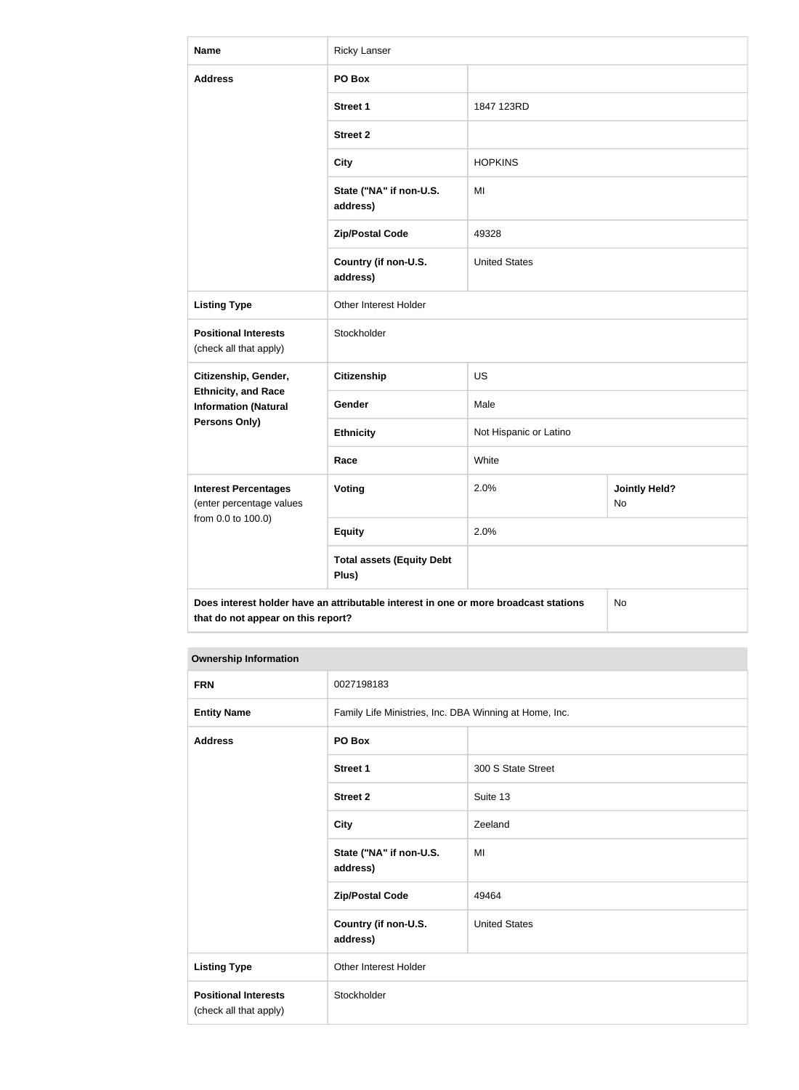| <b>Name</b>                                                                   | <b>Ricky Lanser</b>                                                                  |                        |                            |
|-------------------------------------------------------------------------------|--------------------------------------------------------------------------------------|------------------------|----------------------------|
| <b>Address</b>                                                                | PO Box                                                                               |                        |                            |
|                                                                               | <b>Street 1</b>                                                                      | 1847 123RD             |                            |
|                                                                               | <b>Street 2</b>                                                                      |                        |                            |
|                                                                               | <b>City</b>                                                                          | <b>HOPKINS</b>         |                            |
|                                                                               | State ("NA" if non-U.S.<br>address)                                                  | MI                     |                            |
|                                                                               | <b>Zip/Postal Code</b>                                                               | 49328                  |                            |
|                                                                               | Country (if non-U.S.<br>address)                                                     | <b>United States</b>   |                            |
| <b>Listing Type</b>                                                           | Other Interest Holder                                                                |                        |                            |
| <b>Positional Interests</b><br>(check all that apply)                         | Stockholder                                                                          |                        |                            |
| Citizenship, Gender,                                                          | <b>Citizenship</b>                                                                   | <b>US</b>              |                            |
| <b>Ethnicity, and Race</b><br><b>Information (Natural</b>                     | Gender                                                                               | Male                   |                            |
| Persons Only)                                                                 | <b>Ethnicity</b>                                                                     | Not Hispanic or Latino |                            |
|                                                                               | Race                                                                                 | White                  |                            |
| <b>Interest Percentages</b><br>(enter percentage values<br>from 0.0 to 100.0) | <b>Voting</b>                                                                        | 2.0%                   | <b>Jointly Held?</b><br>No |
|                                                                               | <b>Equity</b>                                                                        | 2.0%                   |                            |
|                                                                               | <b>Total assets (Equity Debt</b><br>Plus)                                            |                        |                            |
| that do not appear on this report?                                            | Does interest holder have an attributable interest in one or more broadcast stations |                        | No                         |

| <b>FRN</b>                                            | 0027198183                                             |                      |  |
|-------------------------------------------------------|--------------------------------------------------------|----------------------|--|
| <b>Entity Name</b>                                    | Family Life Ministries, Inc. DBA Winning at Home, Inc. |                      |  |
| <b>Address</b>                                        | PO Box                                                 |                      |  |
|                                                       | <b>Street 1</b>                                        | 300 S State Street   |  |
|                                                       | <b>Street 2</b>                                        | Suite 13             |  |
|                                                       | <b>City</b>                                            | Zeeland              |  |
|                                                       | State ("NA" if non-U.S.<br>address)                    | MI                   |  |
|                                                       | <b>Zip/Postal Code</b>                                 | 49464                |  |
|                                                       | Country (if non-U.S.<br>address)                       | <b>United States</b> |  |
| <b>Listing Type</b>                                   | Other Interest Holder                                  |                      |  |
| <b>Positional Interests</b><br>(check all that apply) | Stockholder                                            |                      |  |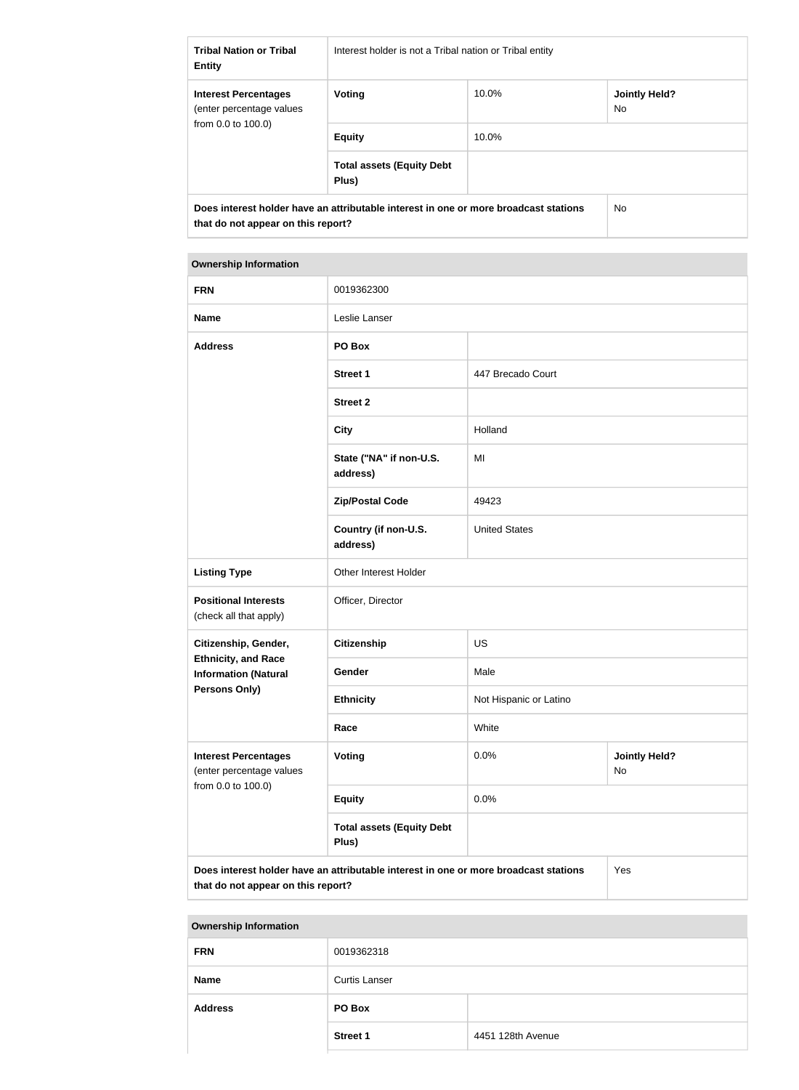| <b>Tribal Nation or Tribal</b><br><b>Entity</b>         | Interest holder is not a Tribal nation or Tribal entity                              |       |                                        |
|---------------------------------------------------------|--------------------------------------------------------------------------------------|-------|----------------------------------------|
| <b>Interest Percentages</b><br>(enter percentage values | Voting                                                                               | 10.0% | <b>Jointly Held?</b><br>N <sub>o</sub> |
| from $0.0$ to $100.0$ )                                 | <b>Equity</b>                                                                        | 10.0% |                                        |
|                                                         | <b>Total assets (Equity Debt</b><br>Plus)                                            |       |                                        |
| that do not appear on this report?                      | Does interest holder have an attributable interest in one or more broadcast stations |       | <b>No</b>                              |

#### **Ownership Information**

| <b>FRN</b>                                                                    | 0019362300                                                                           |                        |                            |
|-------------------------------------------------------------------------------|--------------------------------------------------------------------------------------|------------------------|----------------------------|
| <b>Name</b>                                                                   | Leslie Lanser                                                                        |                        |                            |
| <b>Address</b>                                                                | PO Box                                                                               |                        |                            |
|                                                                               | <b>Street 1</b>                                                                      | 447 Brecado Court      |                            |
|                                                                               | <b>Street 2</b>                                                                      |                        |                            |
|                                                                               | <b>City</b>                                                                          | Holland                |                            |
|                                                                               | State ("NA" if non-U.S.<br>address)                                                  | MI                     |                            |
|                                                                               | <b>Zip/Postal Code</b>                                                               | 49423                  |                            |
|                                                                               | Country (if non-U.S.<br>address)                                                     | <b>United States</b>   |                            |
| <b>Listing Type</b>                                                           | Other Interest Holder                                                                |                        |                            |
| <b>Positional Interests</b><br>(check all that apply)                         | Officer, Director                                                                    |                        |                            |
| Citizenship, Gender,                                                          | <b>Citizenship</b>                                                                   | <b>US</b>              |                            |
| <b>Ethnicity, and Race</b><br><b>Information (Natural</b>                     | Gender                                                                               | Male                   |                            |
| Persons Only)                                                                 | <b>Ethnicity</b>                                                                     | Not Hispanic or Latino |                            |
|                                                                               | Race                                                                                 | White                  |                            |
| <b>Interest Percentages</b><br>(enter percentage values<br>from 0.0 to 100.0) | <b>Voting</b>                                                                        | 0.0%                   | <b>Jointly Held?</b><br>No |
|                                                                               | <b>Equity</b>                                                                        | 0.0%                   |                            |
|                                                                               | <b>Total assets (Equity Debt</b><br>Plus)                                            |                        |                            |
|                                                                               | Does interest holder have an attributable interest in one or more broadcast stations |                        | Yes                        |

**Does interest holder have an attributable interest in one or more broadcast stations that do not appear on this report?**

| <b>FRN</b>     | 0019362318           |                   |
|----------------|----------------------|-------------------|
| <b>Name</b>    | <b>Curtis Lanser</b> |                   |
| <b>Address</b> | PO Box               |                   |
|                | <b>Street 1</b>      | 4451 128th Avenue |
|                |                      |                   |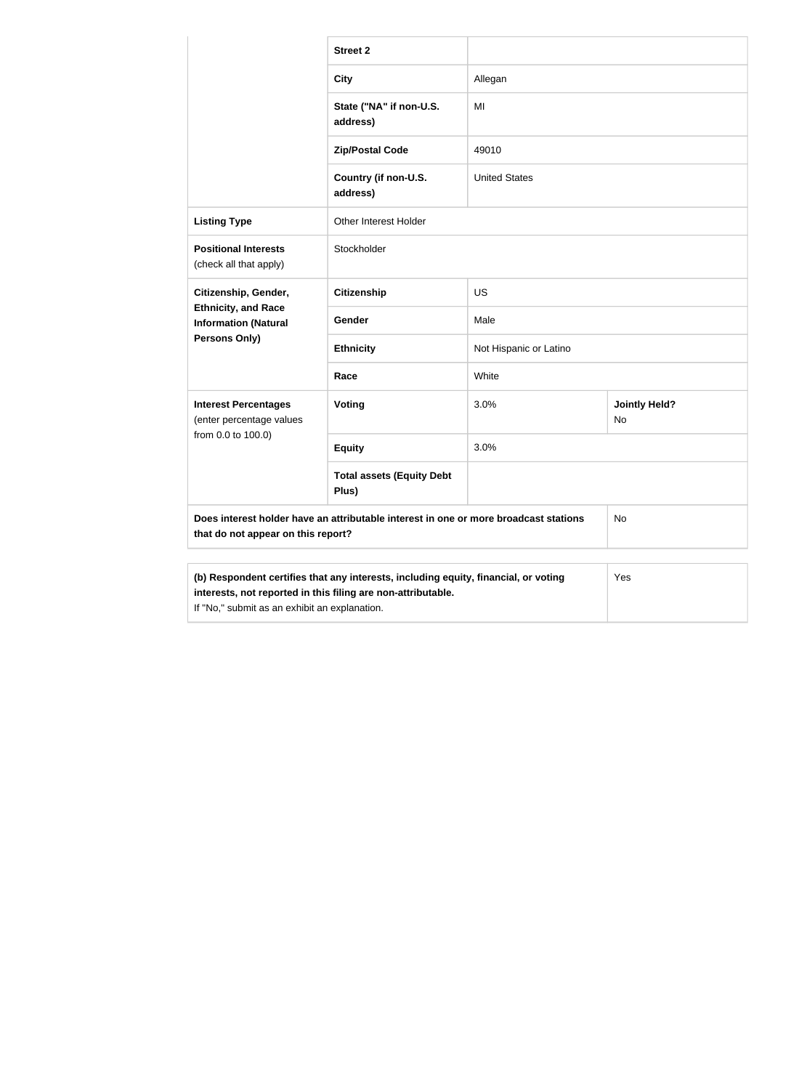|                                                                                                               | <b>Street 2</b>                                                                      |                        |                            |
|---------------------------------------------------------------------------------------------------------------|--------------------------------------------------------------------------------------|------------------------|----------------------------|
|                                                                                                               | <b>City</b>                                                                          | Allegan                |                            |
|                                                                                                               | State ("NA" if non-U.S.<br>address)                                                  | MI                     |                            |
|                                                                                                               | <b>Zip/Postal Code</b>                                                               | 49010                  |                            |
|                                                                                                               | Country (if non-U.S.<br>address)                                                     | <b>United States</b>   |                            |
| <b>Listing Type</b>                                                                                           | Other Interest Holder                                                                |                        |                            |
| <b>Positional Interests</b><br>(check all that apply)                                                         | Stockholder                                                                          |                        |                            |
| Citizenship, Gender,<br><b>Ethnicity, and Race</b><br><b>Information (Natural</b>                             | <b>Citizenship</b>                                                                   | US                     |                            |
|                                                                                                               | <b>Gender</b>                                                                        | Male                   |                            |
| Persons Only)                                                                                                 | <b>Ethnicity</b>                                                                     | Not Hispanic or Latino |                            |
|                                                                                                               | Race                                                                                 | White                  |                            |
| <b>Interest Percentages</b><br>(enter percentage values                                                       | Voting                                                                               | 3.0%                   | <b>Jointly Held?</b><br>No |
| from 0.0 to 100.0)                                                                                            | <b>Equity</b>                                                                        | 3.0%                   |                            |
|                                                                                                               | <b>Total assets (Equity Debt</b><br>Plus)                                            |                        |                            |
| that do not appear on this report?                                                                            | Does interest holder have an attributable interest in one or more broadcast stations |                        | No                         |
|                                                                                                               |                                                                                      |                        |                            |
| interests, not reported in this filing are non-attributable.<br>If "No," submit as an exhibit an explanation. | (b) Respondent certifies that any interests, including equity, financial, or voting  |                        | Yes                        |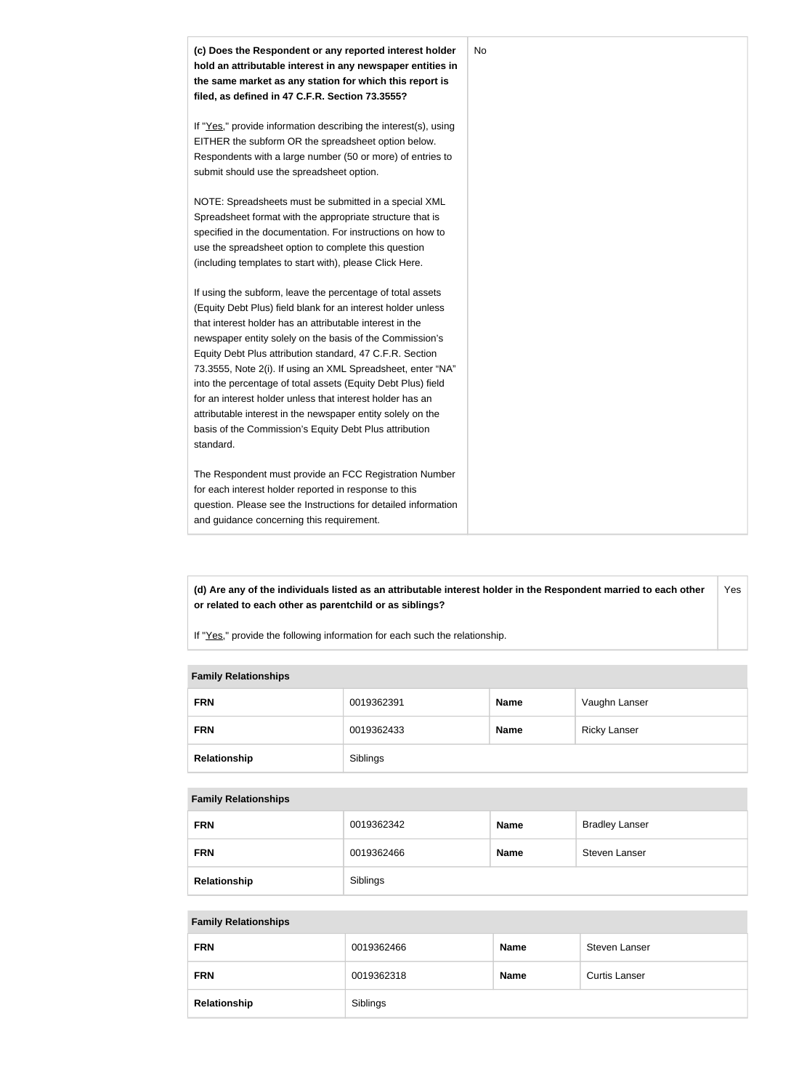

**(d) Are any of the individuals listed as an attributable interest holder in the Respondent married to each other or related to each other as parentchild or as siblings?** Yes

If "Yes," provide the following information for each such the relationship.

#### **Family Relationships**

| <b>FRN</b>   | 0019362391 | <b>Name</b> | Vaughn Lanser       |
|--------------|------------|-------------|---------------------|
| <b>FRN</b>   | 0019362433 | <b>Name</b> | <b>Ricky Lanser</b> |
| Relationship | Siblings   |             |                     |

#### **Family Relationships**

| <b>FRN</b>   | 0019362342 | <b>Name</b> | <b>Bradley Lanser</b> |
|--------------|------------|-------------|-----------------------|
| <b>FRN</b>   | 0019362466 | <b>Name</b> | Steven Lanser         |
| Relationship | Siblings   |             |                       |

#### **Family Relationships**

| <b>FRN</b>   | 0019362466 | <b>Name</b> | Steven Lanser        |
|--------------|------------|-------------|----------------------|
| <b>FRN</b>   | 0019362318 | <b>Name</b> | <b>Curtis Lanser</b> |
| Relationship | Siblings   |             |                      |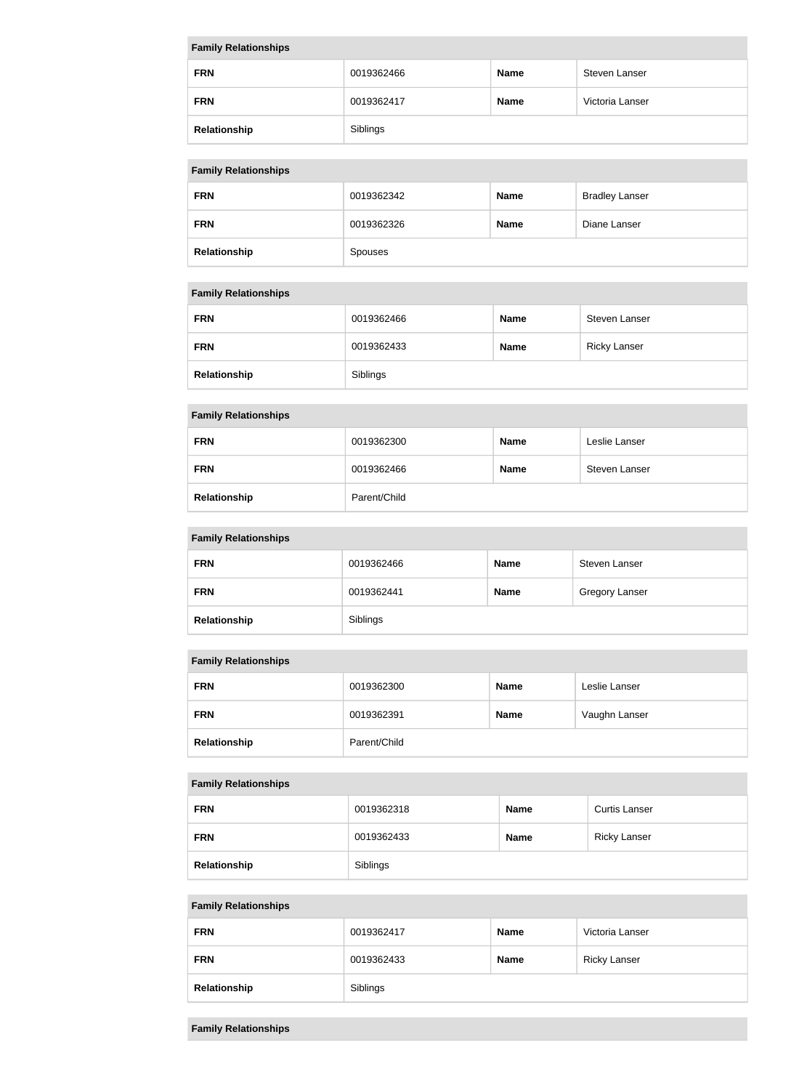| <b>Family Relationships</b> |            |             |                 |  |
|-----------------------------|------------|-------------|-----------------|--|
| <b>FRN</b>                  | 0019362466 | <b>Name</b> | Steven Lanser   |  |
| <b>FRN</b>                  | 0019362417 | <b>Name</b> | Victoria Lanser |  |
| Relationship                | Siblings   |             |                 |  |

### **Family Relationships**

| <b>FRN</b>   | 0019362342     | <b>Name</b> | <b>Bradley Lanser</b> |
|--------------|----------------|-------------|-----------------------|
| <b>FRN</b>   | 0019362326     | <b>Name</b> | Diane Lanser          |
| Relationship | <b>Spouses</b> |             |                       |

### **Family Relationships**

| <b>FRN</b>   | 0019362466 | <b>Name</b> | Steven Lanser       |
|--------------|------------|-------------|---------------------|
| <b>FRN</b>   | 0019362433 | <b>Name</b> | <b>Ricky Lanser</b> |
| Relationship | Siblings   |             |                     |

#### **Family Relationships**

| <b>FRN</b>   | 0019362300   | <b>Name</b> | Leslie Lanser |
|--------------|--------------|-------------|---------------|
| <b>FRN</b>   | 0019362466   | <b>Name</b> | Steven Lanser |
| Relationship | Parent/Child |             |               |

### **Family Relationships**

| <b>FRN</b>   | 0019362466 | <b>Name</b> | Steven Lanser         |
|--------------|------------|-------------|-----------------------|
| <b>FRN</b>   | 0019362441 | <b>Name</b> | <b>Gregory Lanser</b> |
| Relationship | Siblings   |             |                       |

#### **Family Relationships**

| <b>FRN</b>   | 0019362300   | <b>Name</b> | Leslie Lanser |
|--------------|--------------|-------------|---------------|
| <b>FRN</b>   | 0019362391   | <b>Name</b> | Vaughn Lanser |
| Relationship | Parent/Child |             |               |

### **Family Relationships**

| <b>FRN</b>   | 0019362318 | <b>Name</b> | <b>Curtis Lanser</b> |
|--------------|------------|-------------|----------------------|
| <b>FRN</b>   | 0019362433 | <b>Name</b> | <b>Ricky Lanser</b>  |
| Relationship | Siblings   |             |                      |

# **Family Relationships**

| <b>FRN</b>   | 0019362417 | <b>Name</b> | Victoria Lanser     |
|--------------|------------|-------------|---------------------|
| <b>FRN</b>   | 0019362433 | <b>Name</b> | <b>Ricky Lanser</b> |
| Relationship | Siblings   |             |                     |

### **Family Relationships**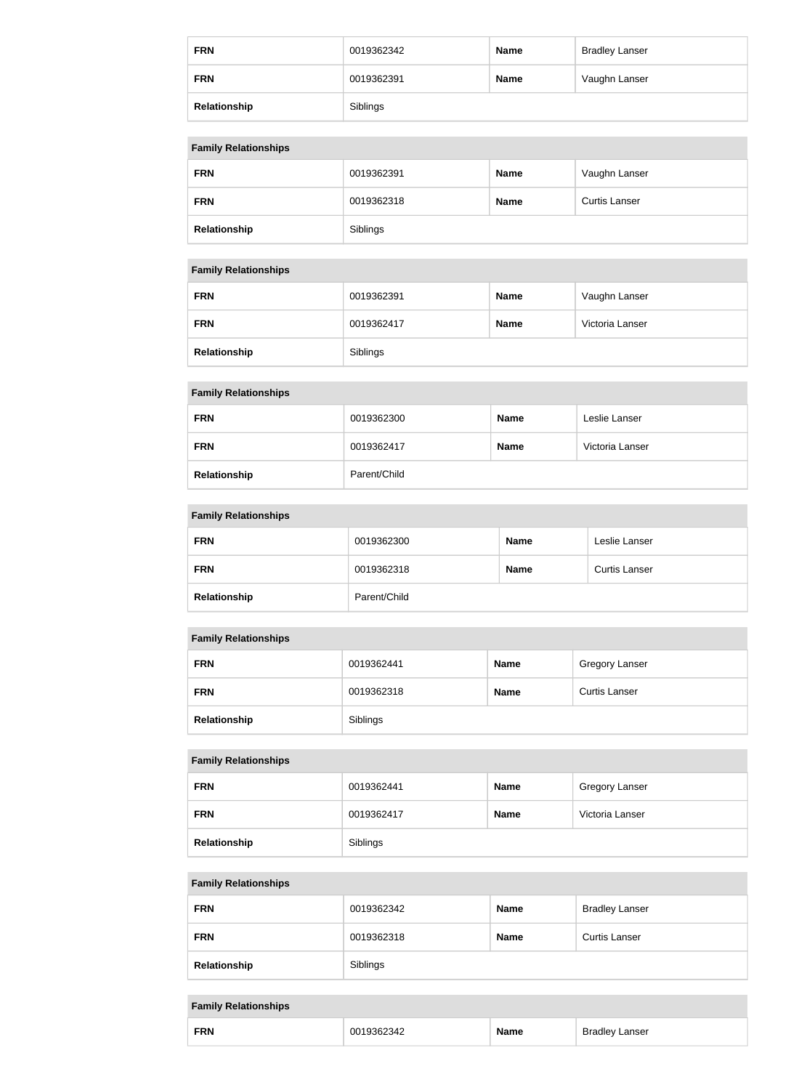| <b>FRN</b>   | 0019362342 | <b>Name</b> | <b>Bradley Lanser</b> |
|--------------|------------|-------------|-----------------------|
| <b>FRN</b>   | 0019362391 | <b>Name</b> | Vaughn Lanser         |
| Relationship | Siblings   |             |                       |

### **Family Relationships**

| <b>FRN</b>   | 0019362391 | <b>Name</b> | Vaughn Lanser        |
|--------------|------------|-------------|----------------------|
| <b>FRN</b>   | 0019362318 | <b>Name</b> | <b>Curtis Lanser</b> |
| Relationship | Siblings   |             |                      |

#### **Family Relationships**

| <b>FRN</b>   | 0019362391 | <b>Name</b> | Vaughn Lanser   |
|--------------|------------|-------------|-----------------|
| <b>FRN</b>   | 0019362417 | <b>Name</b> | Victoria Lanser |
| Relationship | Siblings   |             |                 |

### **Family Relationships**

| <b>FRN</b>   | 0019362300   | <b>Name</b> | Leslie Lanser   |
|--------------|--------------|-------------|-----------------|
| <b>FRN</b>   | 0019362417   | <b>Name</b> | Victoria Lanser |
| Relationship | Parent/Child |             |                 |

#### **Family Relationships**

| <b>FRN</b>   | 0019362300   | <b>Name</b> | Leslie Lanser        |
|--------------|--------------|-------------|----------------------|
| <b>FRN</b>   | 0019362318   | <b>Name</b> | <b>Curtis Lanser</b> |
| Relationship | Parent/Child |             |                      |

### **Family Relationships**

| <b>FRN</b>   | 0019362441 | <b>Name</b> | <b>Gregory Lanser</b> |
|--------------|------------|-------------|-----------------------|
| <b>FRN</b>   | 0019362318 | <b>Name</b> | <b>Curtis Lanser</b>  |
| Relationship | Siblings   |             |                       |

### **Family Relationships**

| <b>FRN</b>   | 0019362441 | <b>Name</b> | <b>Gregory Lanser</b> |
|--------------|------------|-------------|-----------------------|
| <b>FRN</b>   | 0019362417 | <b>Name</b> | Victoria Lanser       |
| Relationship | Siblings   |             |                       |

### **Family Relationships**

| <b>FRN</b>   | 0019362342 | <b>Name</b> | <b>Bradley Lanser</b> |
|--------------|------------|-------------|-----------------------|
| <b>FRN</b>   | 0019362318 | <b>Name</b> | <b>Curtis Lanser</b>  |
| Relationship | Siblings   |             |                       |

#### **Family Relationships**

| <b>FRN</b><br>anser<br>$\ddot{\,}$<br>и |  |
|-----------------------------------------|--|
|-----------------------------------------|--|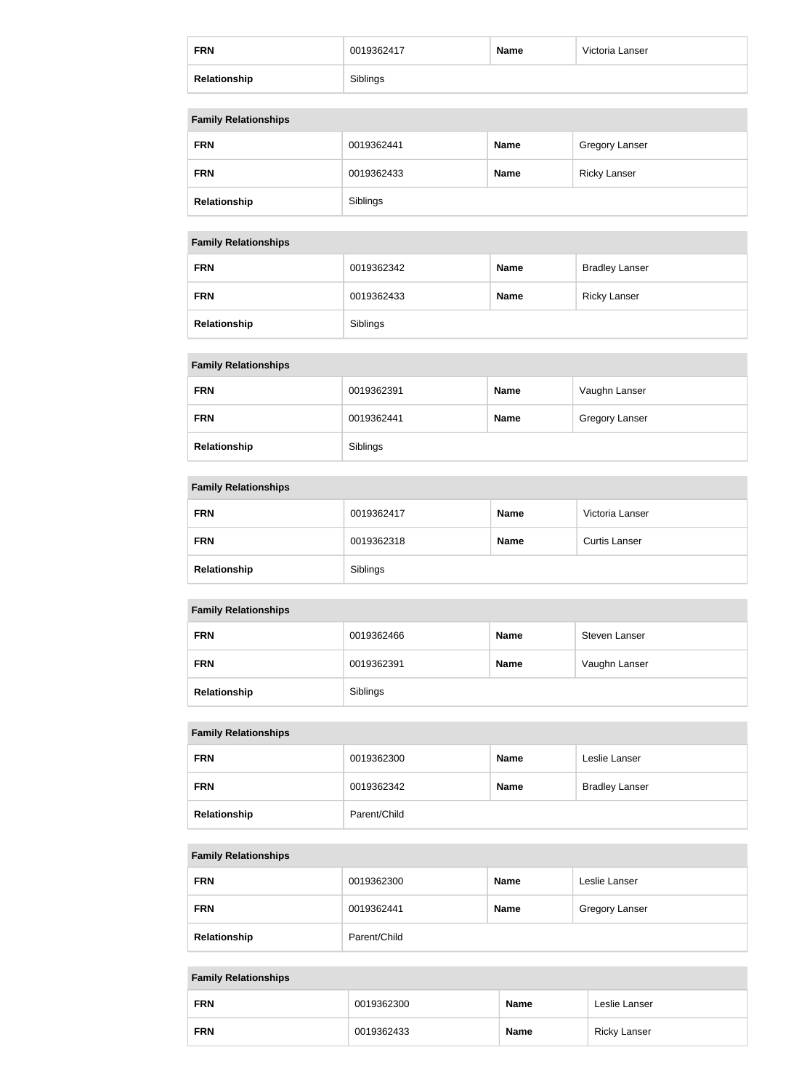| <b>FRN</b>   | 0019362417 | <b>Name</b> | Victoria Lanser |
|--------------|------------|-------------|-----------------|
| Relationship | Siblings   |             |                 |

#### **Family Relationships**

| <b>FRN</b>   | 0019362441 | <b>Name</b> | <b>Gregory Lanser</b> |
|--------------|------------|-------------|-----------------------|
| <b>FRN</b>   | 0019362433 | <b>Name</b> | <b>Ricky Lanser</b>   |
| Relationship | Siblings   |             |                       |

### **Family Relationships**

| <b>FRN</b>   | 0019362342 | <b>Name</b> | <b>Bradley Lanser</b> |
|--------------|------------|-------------|-----------------------|
| <b>FRN</b>   | 0019362433 | <b>Name</b> | <b>Ricky Lanser</b>   |
| Relationship | Siblings   |             |                       |

### **Family Relationships**

| <b>FRN</b>   | 0019362391 | <b>Name</b> | Vaughn Lanser         |
|--------------|------------|-------------|-----------------------|
| <b>FRN</b>   | 0019362441 | <b>Name</b> | <b>Gregory Lanser</b> |
| Relationship | Siblings   |             |                       |

### **Family Relationships**

| <b>FRN</b>   | 0019362417 | <b>Name</b> | Victoria Lanser      |
|--------------|------------|-------------|----------------------|
| <b>FRN</b>   | 0019362318 | <b>Name</b> | <b>Curtis Lanser</b> |
| Relationship | Siblings   |             |                      |

#### **Family Relationships**

| <b>FRN</b>   | 0019362466 | <b>Name</b> | Steven Lanser |
|--------------|------------|-------------|---------------|
| <b>FRN</b>   | 0019362391 | <b>Name</b> | Vaughn Lanser |
| Relationship | Siblings   |             |               |

### **Family Relationships**

| <b>FRN</b>   | 0019362300   | <b>Name</b> | Leslie Lanser         |
|--------------|--------------|-------------|-----------------------|
| <b>FRN</b>   | 0019362342   | <b>Name</b> | <b>Bradley Lanser</b> |
| Relationship | Parent/Child |             |                       |

### **Family Relationships**

| <b>FRN</b>   | 0019362300   | <b>Name</b> | Leslie Lanser  |
|--------------|--------------|-------------|----------------|
| <b>FRN</b>   | 0019362441   | <b>Name</b> | Gregory Lanser |
| Relationship | Parent/Child |             |                |

# **Family Relationships FRN** 0019362300 **Name** Leslie Lanser **FRN** 0019362433 **Name** Ricky Lanser